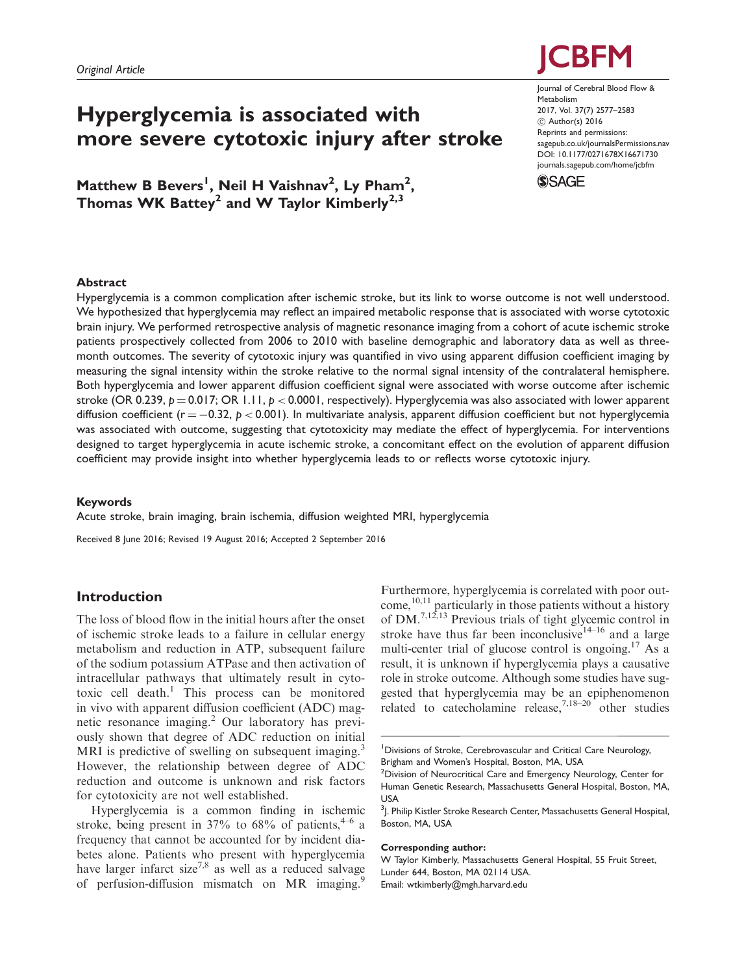#### Journal of Cerebral Blood Flow & Metabolism 2017, Vol. 37(7) 2577–2583 ! Author(s) 2016 Reprints and permissions: [sagepub.co.uk/journalsPermissions.nav](https://uk.sagepub.com/en-gb/journals-permissions) DOI: [10.1177/0271678X16671730](https://doi.org/10.1177/0271678X16671730) <journals.sagepub.com/home/jcbfm>



# Hyperglycemia is associated with more severe cytotoxic injury after stroke

Matthew B Bevers<sup>1</sup>, Neil H Vaishnav<sup>2</sup>, Ly Pham<sup>2</sup>, Thomas WK Battey<sup>2</sup> and W Taylor Kimberly<sup>2,3</sup>

#### Abstract

Hyperglycemia is a common complication after ischemic stroke, but its link to worse outcome is not well understood. We hypothesized that hyperglycemia may reflect an impaired metabolic response that is associated with worse cytotoxic brain injury. We performed retrospective analysis of magnetic resonance imaging from a cohort of acute ischemic stroke patients prospectively collected from 2006 to 2010 with baseline demographic and laboratory data as well as threemonth outcomes. The severity of cytotoxic injury was quantified in vivo using apparent diffusion coefficient imaging by measuring the signal intensity within the stroke relative to the normal signal intensity of the contralateral hemisphere. Both hyperglycemia and lower apparent diffusion coefficient signal were associated with worse outcome after ischemic stroke (OR 0.239,  $p = 0.017$ ; OR 1.11,  $p < 0.0001$ , respectively). Hyperglycemia was also associated with lower apparent diffusion coefficient (r  $=$   $-0.32, \, p$   $<$  0.001). In multivariate analysis, apparent diffusion coefficient but not hyperglycemia was associated with outcome, suggesting that cytotoxicity may mediate the effect of hyperglycemia. For interventions designed to target hyperglycemia in acute ischemic stroke, a concomitant effect on the evolution of apparent diffusion coefficient may provide insight into whether hyperglycemia leads to or reflects worse cytotoxic injury.

#### Keywords

Acute stroke, brain imaging, brain ischemia, diffusion weighted MRI, hyperglycemia

Received 8 June 2016; Revised 19 August 2016; Accepted 2 September 2016

# Introduction

The loss of blood flow in the initial hours after the onset of ischemic stroke leads to a failure in cellular energy metabolism and reduction in ATP, subsequent failure of the sodium potassium ATPase and then activation of intracellular pathways that ultimately result in cytotoxic cell death.<sup>1</sup> This process can be monitored in vivo with apparent diffusion coefficient (ADC) magnetic resonance imaging.<sup>2</sup> Our laboratory has previously shown that degree of ADC reduction on initial MRI is predictive of swelling on subsequent imaging.<sup>3</sup> However, the relationship between degree of ADC reduction and outcome is unknown and risk factors for cytotoxicity are not well established.

Hyperglycemia is a common finding in ischemic stroke, being present in  $37\%$  to  $68\%$  of patients,  $4-6$  a frequency that cannot be accounted for by incident diabetes alone. Patients who present with hyperglycemia have larger infarct size<sup>7,8</sup> as well as a reduced salvage of perfusion-diffusion mismatch on MR imaging.<sup>9</sup> Furthermore, hyperglycemia is correlated with poor outcome,<sup>10,11</sup> particularly in those patients without a history of  $DM^{7,12,13}$  Previous trials of tight glycemic control in stroke have thus far been inconclusive<sup>14–16</sup> and a large multi-center trial of glucose control is ongoing.<sup>17</sup> As a result, it is unknown if hyperglycemia plays a causative role in stroke outcome. Although some studies have suggested that hyperglycemia may be an epiphenomenon related to catecholamine release,  $^{7,18-20}$  other studies

#### Corresponding author:

W Taylor Kimberly, Massachusetts General Hospital, 55 Fruit Street, Lunder 644, Boston, MA 02114 USA. Email: wtkimberly@mgh.harvard.edu

<sup>&</sup>lt;sup>1</sup> Divisions of Stroke, Cerebrovascular and Critical Care Neurology, Brigham and Women's Hospital, Boston, MA, USA

<sup>&</sup>lt;sup>2</sup> Division of Neurocritical Care and Emergency Neurology, Center for Human Genetic Research, Massachusetts General Hospital, Boston, MA, USA

<sup>&</sup>lt;sup>3</sup>J. Philip Kistler Stroke Research Center, Massachusetts General Hospital, Boston, MA, USA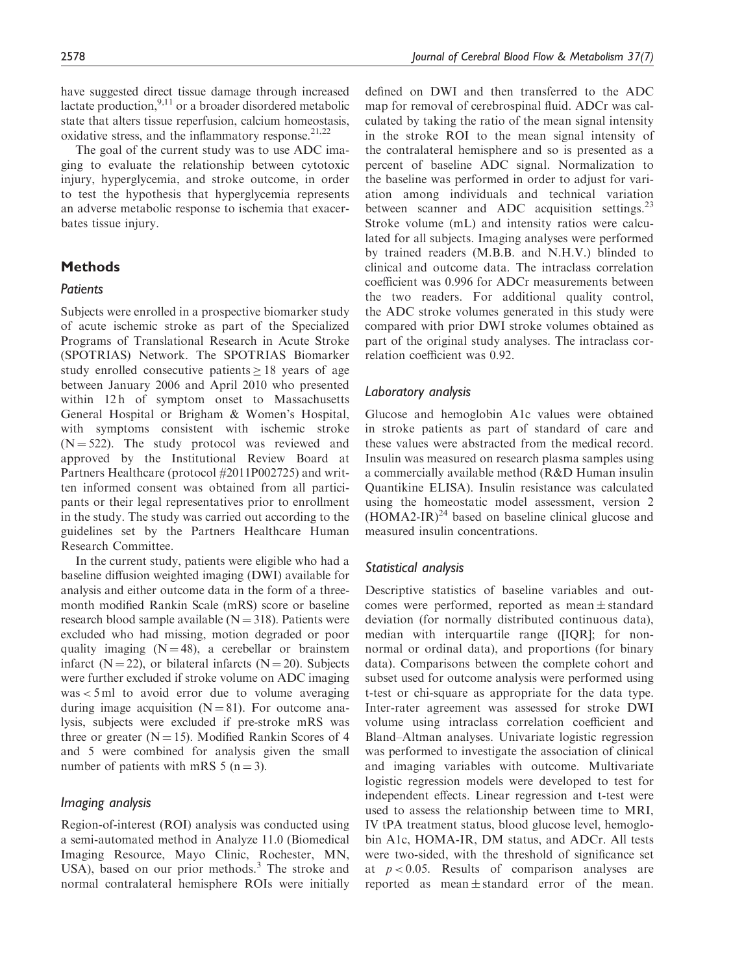have suggested direct tissue damage through increased lactate production,  $9,11$  or a broader disordered metabolic state that alters tissue reperfusion, calcium homeostasis, oxidative stress, and the inflammatory response. $21,22$ 

The goal of the current study was to use ADC imaging to evaluate the relationship between cytotoxic injury, hyperglycemia, and stroke outcome, in order to test the hypothesis that hyperglycemia represents an adverse metabolic response to ischemia that exacerbates tissue injury.

# **Methods**

# **Patients**

Subjects were enrolled in a prospective biomarker study of acute ischemic stroke as part of the Specialized Programs of Translational Research in Acute Stroke (SPOTRIAS) Network. The SPOTRIAS Biomarker study enrolled consecutive patients  $\geq 18$  years of age between January 2006 and April 2010 who presented within 12h of symptom onset to Massachusetts General Hospital or Brigham & Women's Hospital, with symptoms consistent with ischemic stroke  $(N = 522)$ . The study protocol was reviewed and approved by the Institutional Review Board at Partners Healthcare (protocol #2011P002725) and written informed consent was obtained from all participants or their legal representatives prior to enrollment in the study. The study was carried out according to the guidelines set by the Partners Healthcare Human Research Committee.

In the current study, patients were eligible who had a baseline diffusion weighted imaging (DWI) available for analysis and either outcome data in the form of a threemonth modified Rankin Scale (mRS) score or baseline research blood sample available  $(N = 318)$ . Patients were excluded who had missing, motion degraded or poor quality imaging  $(N = 48)$ , a cerebellar or brainstem infarct ( $N = 22$ ), or bilateral infarcts ( $N = 20$ ). Subjects were further excluded if stroke volume on ADC imaging  $was < 5$  ml to avoid error due to volume averaging during image acquisition  $(N = 81)$ . For outcome analysis, subjects were excluded if pre-stroke mRS was three or greater ( $N = 15$ ). Modified Rankin Scores of 4 and 5 were combined for analysis given the small number of patients with mRS  $5$  (n = 3).

# Imaging analysis

Region-of-interest (ROI) analysis was conducted using a semi-automated method in Analyze 11.0 (Biomedical Imaging Resource, Mayo Clinic, Rochester, MN, USA), based on our prior methods.<sup>3</sup> The stroke and normal contralateral hemisphere ROIs were initially

defined on DWI and then transferred to the ADC map for removal of cerebrospinal fluid. ADCr was calculated by taking the ratio of the mean signal intensity in the stroke ROI to the mean signal intensity of the contralateral hemisphere and so is presented as a percent of baseline ADC signal. Normalization to the baseline was performed in order to adjust for variation among individuals and technical variation between scanner and ADC acquisition settings.<sup>23</sup> Stroke volume (mL) and intensity ratios were calculated for all subjects. Imaging analyses were performed by trained readers (M.B.B. and N.H.V.) blinded to clinical and outcome data. The intraclass correlation coefficient was 0.996 for ADCr measurements between the two readers. For additional quality control, the ADC stroke volumes generated in this study were compared with prior DWI stroke volumes obtained as part of the original study analyses. The intraclass correlation coefficient was 0.92.

# Laboratory analysis

Glucose and hemoglobin A1c values were obtained in stroke patients as part of standard of care and these values were abstracted from the medical record. Insulin was measured on research plasma samples using a commercially available method (R&D Human insulin Quantikine ELISA). Insulin resistance was calculated using the homeostatic model assessment, version 2  $(HOMA2-IR)^{24}$  based on baseline clinical glucose and measured insulin concentrations.

#### Statistical analysis

Descriptive statistics of baseline variables and outcomes were performed, reported as mean  $\pm$  standard deviation (for normally distributed continuous data), median with interquartile range ([IQR]; for nonnormal or ordinal data), and proportions (for binary data). Comparisons between the complete cohort and subset used for outcome analysis were performed using t-test or chi-square as appropriate for the data type. Inter-rater agreement was assessed for stroke DWI volume using intraclass correlation coefficient and Bland–Altman analyses. Univariate logistic regression was performed to investigate the association of clinical and imaging variables with outcome. Multivariate logistic regression models were developed to test for independent effects. Linear regression and t-test were used to assess the relationship between time to MRI, IV tPA treatment status, blood glucose level, hemoglobin A1c, HOMA-IR, DM status, and ADCr. All tests were two-sided, with the threshold of significance set at  $p < 0.05$ . Results of comparison analyses are reported as mean  $\pm$  standard error of the mean.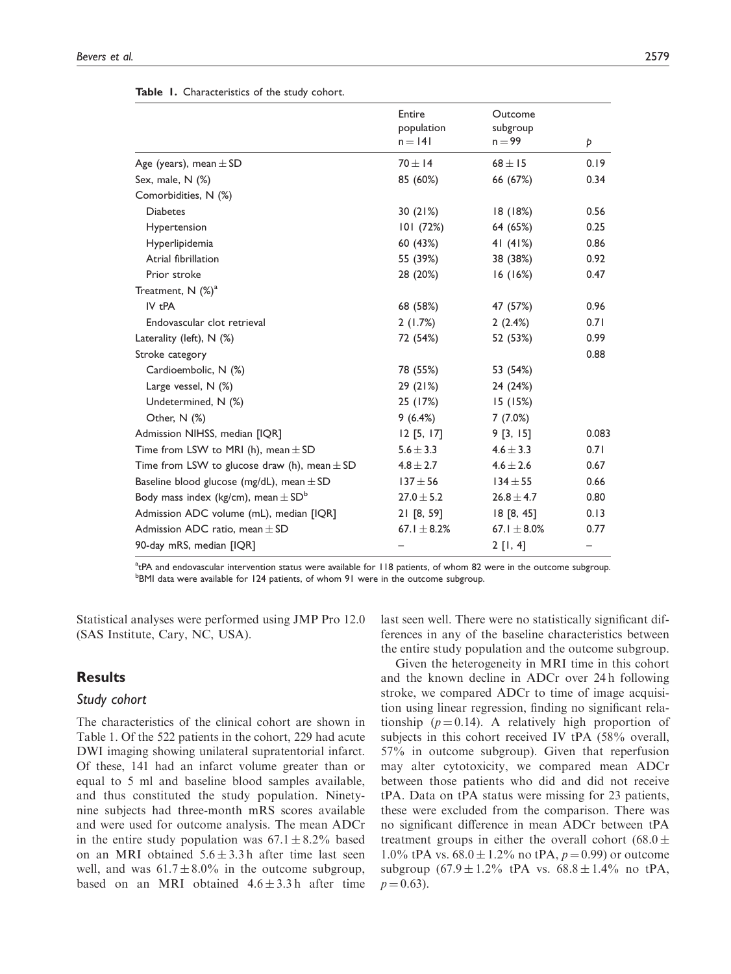|                                                     | Entire          | Outcome         |       |
|-----------------------------------------------------|-----------------|-----------------|-------|
|                                                     | population      | subgroup        |       |
|                                                     | $n = 141$       | $n = 99$        | Þ     |
| Age (years), mean $\pm$ SD                          | $70 \pm 14$     | $68 \pm 15$     | 0.19  |
| Sex, male, N (%)                                    | 85 (60%)        | 66 (67%)        | 0.34  |
| Comorbidities, N (%)                                |                 |                 |       |
| <b>Diabetes</b>                                     | 30(21%)         | 18(18%)         | 0.56  |
| Hypertension                                        | 101(72%)        | 64 (65%)        | 0.25  |
| Hyperlipidemia                                      | 60 (43%)        | 41 $(41%)$      | 0.86  |
| Atrial fibrillation                                 | 55 (39%)        | 38 (38%)        | 0.92  |
| Prior stroke                                        | 28 (20%)        | 16(16%)         | 0.47  |
| Treatment, $N$ (%) <sup>a</sup>                     |                 |                 |       |
| IV tPA                                              | 68 (58%)        | 47 (57%)        | 0.96  |
| Endovascular clot retrieval                         | 2(1.7%)         | 2(2.4%)         | 0.71  |
| Laterality (left), N (%)                            | 72 (54%)        | 52 (53%)        | 0.99  |
| Stroke category                                     |                 |                 | 0.88  |
| Cardioembolic, N (%)                                | 78 (55%)        | 53 (54%)        |       |
| Large vessel, N (%)                                 | 29 (21%)        | 24 (24%)        |       |
| Undetermined, N (%)                                 | 25 (17%)        | 15(15%)         |       |
| Other, N (%)                                        | 9(6.4%)         | 7(7.0%)         |       |
| Admission NIHSS, median [IQR]                       | 12 [5, 17]      | $9$ [3, 15]     | 0.083 |
| Time from LSW to MRI (h), mean $\pm$ SD             | $5.6 \pm 3.3$   | $4.6 \pm 3.3$   | 0.71  |
| Time from LSW to glucose draw (h), mean $\pm$ SD    | $4.8 \pm 2.7$   | $4.6 \pm 2.6$   | 0.67  |
| Baseline blood glucose (mg/dL), mean $\pm$ SD       | $137 + 56$      | $134 \pm 55$    | 0.66  |
| Body mass index (kg/cm), mean $\pm$ SD <sup>b</sup> | $27.0 \pm 5.2$  | $26.8 \pm 4.7$  | 0.80  |
| Admission ADC volume (mL), median [IQR]             | 21 [8, 59]      | 18 [8, 45]      | 0.13  |
| Admission ADC ratio, mean $\pm$ SD                  | 67.1 $\pm$ 8.2% | 67.1 $\pm$ 8.0% | 0.77  |
| 90-day mRS, median [IQR]                            |                 | $2$ [1, 4]      |       |

Table 1. Characteristics of the study cohort.

<sup>a</sup>tPA and endovascular intervention status were available for 118 patients, of whom 82 were in the outcome subgroup. **BMI** data were available for 124 patients, of whom 91 were in the outcome subgroup.

Statistical analyses were performed using JMP Pro 12.0 (SAS Institute, Cary, NC, USA).

# **Results**

# Study cohort

The characteristics of the clinical cohort are shown in Table 1. Of the 522 patients in the cohort, 229 had acute DWI imaging showing unilateral supratentorial infarct. Of these, 141 had an infarct volume greater than or equal to 5 ml and baseline blood samples available, and thus constituted the study population. Ninetynine subjects had three-month mRS scores available and were used for outcome analysis. The mean ADCr in the entire study population was  $67.1 \pm 8.2\%$  based on an MRI obtained  $5.6 \pm 3.3$  h after time last seen well, and was  $61.7 \pm 8.0\%$  in the outcome subgroup, based on an MRI obtained  $4.6 \pm 3.3$  h after time last seen well. There were no statistically significant differences in any of the baseline characteristics between the entire study population and the outcome subgroup.

Given the heterogeneity in MRI time in this cohort and the known decline in ADCr over 24 h following stroke, we compared ADCr to time of image acquisition using linear regression, finding no significant relationship ( $p = 0.14$ ). A relatively high proportion of subjects in this cohort received IV tPA (58% overall, 57% in outcome subgroup). Given that reperfusion may alter cytotoxicity, we compared mean ADCr between those patients who did and did not receive tPA. Data on tPA status were missing for 23 patients, these were excluded from the comparison. There was no significant difference in mean ADCr between tPA treatment groups in either the overall cohort (68.0  $\pm$ 1.0% tPA vs.  $68.0 \pm 1.2$ % no tPA,  $p = 0.99$ ) or outcome subgroup  $(67.9 \pm 1.2\%$  tPA vs.  $68.8 \pm 1.4\%$  no tPA,  $p = 0.63$ ).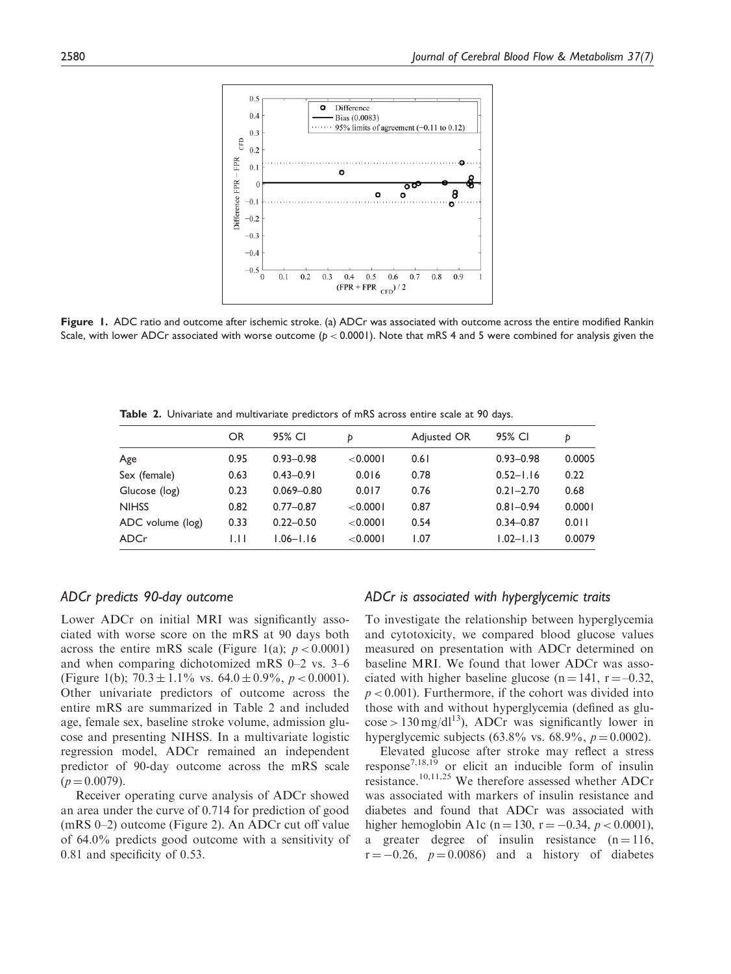

Figure 1. ADC ratio and outcome after ischemic stroke. (a) ADCr was associated with outcome across the entire modified Rankin Scale, with lower ADCr associated with worse outcome  $(p < 0.0001)$ . Note that mRS 4 and 5 were combined for analysis given the

Table 2. Univariate and multivariate predictors of mRS across entire scale at 90 days.

|                  | OR              | 95% CI         | Þ        | Adjusted OR | 95% CI        | Þ      |
|------------------|-----------------|----------------|----------|-------------|---------------|--------|
| Age              | 0.95            | $0.93 - 0.98$  | < 0.0001 | 0.61        | $0.93 - 0.98$ | 0.0005 |
| Sex (female)     | 0.63            | $0.43 - 0.91$  | 0.016    | 0.78        | $0.52 - 1.16$ | 0.22   |
| Glucose (log)    | 0.23            | $0.069 - 0.80$ | 0.017    | 0.76        | $0.21 - 2.70$ | 0.68   |
| <b>NIHSS</b>     | 0.82            | $0.77 - 0.87$  | < 0.0001 | 0.87        | $0.81 - 0.94$ | 0.0001 |
| ADC volume (log) | 0.33            | $0.22 - 0.50$  | < 0.0001 | 0.54        | $0.34 - 0.87$ | 0.011  |
| <b>ADCr</b>      | $\overline{11}$ | l.06–l.16      | < 0.0001 | 1.07        | $1.02 - 1.13$ | 0.0079 |

# ADCr predicts 90-day outcome

Lower ADCr on initial MRI was significantly associated with worse score on the mRS at 90 days both across the entire mRS scale (Figure 1(a);  $p < 0.0001$ ) and when comparing dichotomized mRS 0–2 vs. 3–6 (Figure 1(b);  $70.3 \pm 1.1\%$  vs.  $64.0 \pm 0.9\%$ ,  $p < 0.0001$ ). Other univariate predictors of outcome across the entire mRS are summarized in Table 2 and included age, female sex, baseline stroke volume, admission glucose and presenting NIHSS. In a multivariate logistic regression model, ADCr remained an independent predictor of 90-day outcome across the mRS scale  $(p = 0.0079)$ .

Receiver operating curve analysis of ADCr showed an area under the curve of 0.714 for prediction of good (mRS 0–2) outcome (Figure 2). An ADCr cut off value of 64.0% predicts good outcome with a sensitivity of 0.81 and specificity of 0.53.

#### ADCr is associated with hyperglycemic traits

To investigate the relationship between hyperglycemia and cytotoxicity, we compared blood glucose values measured on presentation with ADCr determined on baseline MRI. We found that lower ADCr was associated with higher baseline glucose (n = 141, r =  $-0.32$ ,  $p < 0.001$ ). Furthermore, if the cohort was divided into those with and without hyperglycemia (defined as glu- $\cos\epsilon$  > 130 mg/dl<sup>13</sup>), ADCr was significantly lower in hyperglycemic subjects (63.8% vs. 68.9%,  $p = 0.0002$ ).

Elevated glucose after stroke may reflect a stress response<sup>7,18,19</sup> or elicit an inducible form of insulin resistance.10,11,25 We therefore assessed whether ADCr was associated with markers of insulin resistance and diabetes and found that ADCr was associated with higher hemoglobin A1c (n = 130, r =  $-0.34$ , p < 0.0001), a greater degree of insulin resistance  $(n = 116,$  $r = -0.26$ ,  $p = 0.0086$ ) and a history of diabetes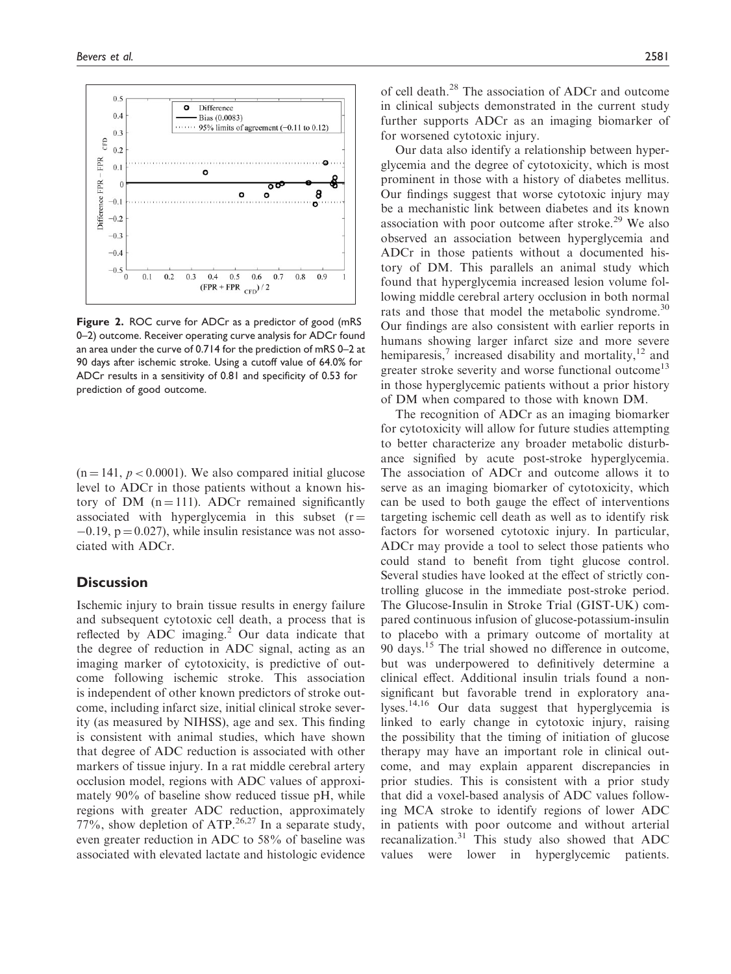

Figure 2. ROC curve for ADCr as a predictor of good (mRS 0–2) outcome. Receiver operating curve analysis for ADCr found an area under the curve of 0.714 for the prediction of mRS 0–2 at 90 days after ischemic stroke. Using a cutoff value of 64.0% for ADCr results in a sensitivity of 0.81 and specificity of 0.53 for prediction of good outcome.

 $(n = 141, p < 0.0001)$ . We also compared initial glucose level to ADCr in those patients without a known history of DM  $(n = 111)$ . ADCr remained significantly associated with hyperglycemia in this subset  $(r =$  $-0.19$ ,  $p = 0.027$ ), while insulin resistance was not associated with ADCr.

# **Discussion**

Ischemic injury to brain tissue results in energy failure and subsequent cytotoxic cell death, a process that is reflected by ADC imaging. $^{2}$  Our data indicate that the degree of reduction in ADC signal, acting as an imaging marker of cytotoxicity, is predictive of outcome following ischemic stroke. This association is independent of other known predictors of stroke outcome, including infarct size, initial clinical stroke severity (as measured by NIHSS), age and sex. This finding is consistent with animal studies, which have shown that degree of ADC reduction is associated with other markers of tissue injury. In a rat middle cerebral artery occlusion model, regions with ADC values of approximately 90% of baseline show reduced tissue pH, while regions with greater ADC reduction, approximately 77%, show depletion of ATP.<sup>26,27</sup> In a separate study, even greater reduction in ADC to 58% of baseline was associated with elevated lactate and histologic evidence of cell death.<sup>28</sup> The association of ADCr and outcome in clinical subjects demonstrated in the current study further supports ADCr as an imaging biomarker of for worsened cytotoxic injury.

Our data also identify a relationship between hyperglycemia and the degree of cytotoxicity, which is most prominent in those with a history of diabetes mellitus. Our findings suggest that worse cytotoxic injury may be a mechanistic link between diabetes and its known association with poor outcome after stroke.<sup>29</sup> We also observed an association between hyperglycemia and ADCr in those patients without a documented history of DM. This parallels an animal study which found that hyperglycemia increased lesion volume following middle cerebral artery occlusion in both normal rats and those that model the metabolic syndrome.<sup>30</sup> Our findings are also consistent with earlier reports in humans showing larger infarct size and more severe hemiparesis, $\frac{7}{1}$  increased disability and mortality,  $\frac{12}{1}$  and greater stroke severity and worse functional outcome<sup>13</sup> in those hyperglycemic patients without a prior history of DM when compared to those with known DM.

The recognition of ADCr as an imaging biomarker for cytotoxicity will allow for future studies attempting to better characterize any broader metabolic disturbance signified by acute post-stroke hyperglycemia. The association of ADCr and outcome allows it to serve as an imaging biomarker of cytotoxicity, which can be used to both gauge the effect of interventions targeting ischemic cell death as well as to identify risk factors for worsened cytotoxic injury. In particular, ADCr may provide a tool to select those patients who could stand to benefit from tight glucose control. Several studies have looked at the effect of strictly controlling glucose in the immediate post-stroke period. The Glucose-Insulin in Stroke Trial (GIST-UK) compared continuous infusion of glucose-potassium-insulin to placebo with a primary outcome of mortality at 90 days.<sup>15</sup> The trial showed no difference in outcome, but was underpowered to definitively determine a clinical effect. Additional insulin trials found a nonsignificant but favorable trend in exploratory analyses.14,16 Our data suggest that hyperglycemia is linked to early change in cytotoxic injury, raising the possibility that the timing of initiation of glucose therapy may have an important role in clinical outcome, and may explain apparent discrepancies in prior studies. This is consistent with a prior study that did a voxel-based analysis of ADC values following MCA stroke to identify regions of lower ADC in patients with poor outcome and without arterial recanalization.<sup>31</sup> This study also showed that ADC values were lower in hyperglycemic patients.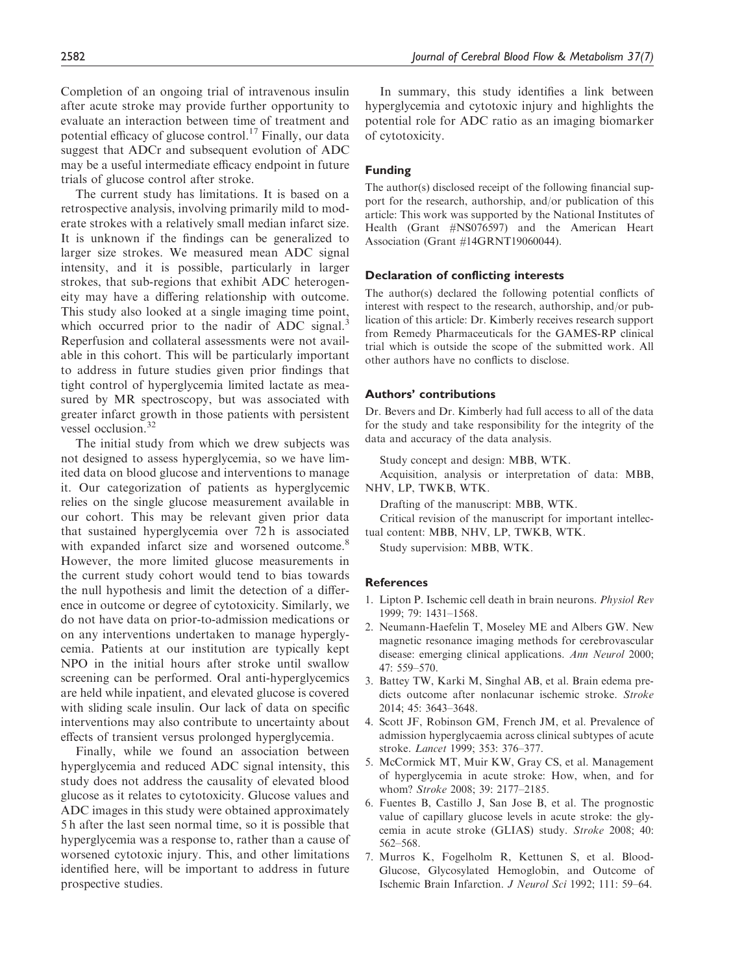Completion of an ongoing trial of intravenous insulin after acute stroke may provide further opportunity to evaluate an interaction between time of treatment and potential efficacy of glucose control.<sup>17</sup> Finally, our data suggest that ADCr and subsequent evolution of ADC may be a useful intermediate efficacy endpoint in future trials of glucose control after stroke.

The current study has limitations. It is based on a retrospective analysis, involving primarily mild to moderate strokes with a relatively small median infarct size. It is unknown if the findings can be generalized to larger size strokes. We measured mean ADC signal intensity, and it is possible, particularly in larger strokes, that sub-regions that exhibit ADC heterogeneity may have a differing relationship with outcome. This study also looked at a single imaging time point, which occurred prior to the nadir of ADC signal.<sup>3</sup> Reperfusion and collateral assessments were not available in this cohort. This will be particularly important to address in future studies given prior findings that tight control of hyperglycemia limited lactate as measured by MR spectroscopy, but was associated with greater infarct growth in those patients with persistent vessel occlusion.<sup>32</sup>

The initial study from which we drew subjects was not designed to assess hyperglycemia, so we have limited data on blood glucose and interventions to manage it. Our categorization of patients as hyperglycemic relies on the single glucose measurement available in our cohort. This may be relevant given prior data that sustained hyperglycemia over 72 h is associated with expanded infarct size and worsened outcome.<sup>8</sup> However, the more limited glucose measurements in the current study cohort would tend to bias towards the null hypothesis and limit the detection of a difference in outcome or degree of cytotoxicity. Similarly, we do not have data on prior-to-admission medications or on any interventions undertaken to manage hyperglycemia. Patients at our institution are typically kept NPO in the initial hours after stroke until swallow screening can be performed. Oral anti-hyperglycemics are held while inpatient, and elevated glucose is covered with sliding scale insulin. Our lack of data on specific interventions may also contribute to uncertainty about effects of transient versus prolonged hyperglycemia.

Finally, while we found an association between hyperglycemia and reduced ADC signal intensity, this study does not address the causality of elevated blood glucose as it relates to cytotoxicity. Glucose values and ADC images in this study were obtained approximately 5 h after the last seen normal time, so it is possible that hyperglycemia was a response to, rather than a cause of worsened cytotoxic injury. This, and other limitations identified here, will be important to address in future prospective studies.

In summary, this study identifies a link between hyperglycemia and cytotoxic injury and highlights the potential role for ADC ratio as an imaging biomarker of cytotoxicity.

### Funding

The author(s) disclosed receipt of the following financial support for the research, authorship, and/or publication of this article: This work was supported by the National Institutes of Health (Grant #NS076597) and the American Heart Association (Grant #14GRNT19060044).

### Declaration of conflicting interests

The author(s) declared the following potential conflicts of interest with respect to the research, authorship, and/or publication of this article: Dr. Kimberly receives research support from Remedy Pharmaceuticals for the GAMES-RP clinical trial which is outside the scope of the submitted work. All other authors have no conflicts to disclose.

#### Authors' contributions

Dr. Bevers and Dr. Kimberly had full access to all of the data for the study and take responsibility for the integrity of the data and accuracy of the data analysis.

Study concept and design: MBB, WTK.

Acquisition, analysis or interpretation of data: MBB, NHV, LP, TWKB, WTK.

Drafting of the manuscript: MBB, WTK.

Critical revision of the manuscript for important intellectual content: MBB, NHV, LP, TWKB, WTK.

Study supervision: MBB, WTK.

#### **References**

- 1. Lipton P. Ischemic cell death in brain neurons. Physiol Rev 1999; 79: 1431–1568.
- 2. Neumann-Haefelin T, Moseley ME and Albers GW. New magnetic resonance imaging methods for cerebrovascular disease: emerging clinical applications. Ann Neurol 2000; 47: 559–570.
- 3. Battey TW, Karki M, Singhal AB, et al. Brain edema predicts outcome after nonlacunar ischemic stroke. Stroke 2014; 45: 3643–3648.
- 4. Scott JF, Robinson GM, French JM, et al. Prevalence of admission hyperglycaemia across clinical subtypes of acute stroke. Lancet 1999; 353: 376–377.
- 5. McCormick MT, Muir KW, Gray CS, et al. Management of hyperglycemia in acute stroke: How, when, and for whom? Stroke 2008; 39: 2177–2185.
- 6. Fuentes B, Castillo J, San Jose B, et al. The prognostic value of capillary glucose levels in acute stroke: the glycemia in acute stroke (GLIAS) study. Stroke 2008; 40: 562–568.
- 7. Murros K, Fogelholm R, Kettunen S, et al. Blood-Glucose, Glycosylated Hemoglobin, and Outcome of Ischemic Brain Infarction. J Neurol Sci 1992; 111: 59–64.